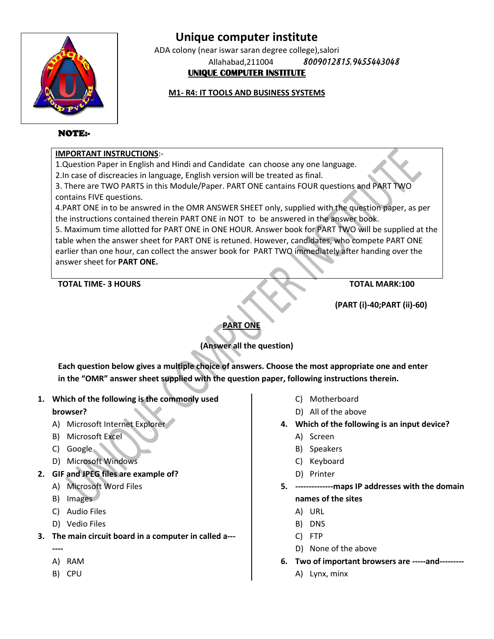

ADA colony (near iswar saran degree college),salori Allahabad,211004 *8009012815,9455443048 8009012815,9455443048***UNIQUE COMPUTER INSTITUTE** 

#### **M1- R4: IT TOOLS AND BUSINESS SYSTEMS**

#### NOTE:-

#### **IMPORTANT INSTRUCTIONS**:-

1.Question Paper in English and Hindi and Candidate can choose any one language.

2.In case of discreacies in language, English version will be treated as final.

3. There are TWO PARTS in this Module/Paper. PART ONE cantains FOUR questions and PART TWO contains FIVE questions.

4.PART ONE in to be answred in the OMR ANSWER SHEET only, supplied with the question paper, as per the instructions contained therein PART ONE in NOT to be answered in the answer book.

5. Maximum time allotted for PART ONE in ONE HOUR. Answer book for PART TWO will be supplied at the table when the answer sheet for PART ONE is retuned. However, candidates, who compete PART ONE earlier than one hour, can collect the answer book for PART TWO immediately after handing over the answer sheet for **PART ONE.** NRT ONE in to be answred in the OMR ANSWER SHEET only, supplied with the question paper,<br>instructions contained therein PART ONE in NOT to be answered in the answer book.<br>laximum time allotted for PART ONE in ONE HOUR. Ans

#### **TOTAL TIME- 3 HOURS**

**TOTAL MARK:100**

**(PART (i)- TOTAL -40;PART (ii)-60)**

**PART ONE**

#### **(Answer all the question)**

**Each question below gives a multiple choice of answers. Choose the most appropriate one and enter in the "OMR" answer sheet supplied with the question paper, following instructions therein.<br>
Thich of the following is the in the "OMR" answer sheet supplied with the question paper, following instructions therein.**

**1. Which of the following is the commonly used** 

#### **browser?**

- A) Microsoft Internet Explorer
- B) Microsoft Excel
- C) Google
- D) Microsoft Windows
- **2. GIF and JPEG files are example of?**
	- A) Microsoft Word Files
	- B) Images
	- C) Audio Files
	- D) Vedio Files
- **3. The main circuit board in a computer in called a a---**
	- **----**
	- A) RAM
	- B) CPU
- C) Motherboard
- D) All of the above
- **4. Which of the following is an** 
	- A) Screen
	- B) Speakers
	- C) Keyboard
	- D) Printer
- **5. --------------maps IP addresses with the domain maps names of the sites**
	- A) URL
	- B) DNS
	- C) FTP
	- D) None of the above
- **6. Two of important browsers are -----and---------**
	- A) Lynx, minx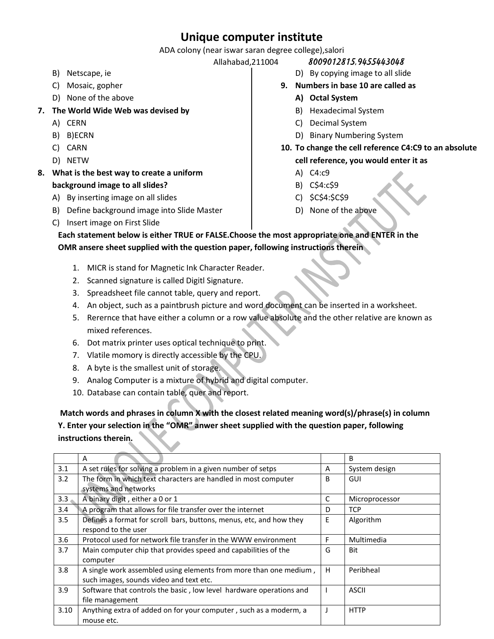ADA colony (near iswar saran degree college),salori

- B) Netscape, ie
- C) Mosaic, gopher
- D) None of the above
- **7. The World Wide Web was devised by** 
	- A) CERN
	- B) B)ECRN
	- C) CARN
	- D) NETW
- **8. What is the best way to create a uniform background image to all slides?**
	- A) By inserting image on all slides
	- B) Define background image into Slide Master
	- C) Insert image on First Slide
- Allahabad,211004 *8009012815,9455443048*
	- D) By copying image to all slide
	- **9. Numbers in base 10 are called as** 
		- **A) Octal System**
		- B) Hexadecimal System
		- C) Decimal System
		- D) Binary Numbering System
	- **10. To change the cell reference C4:C9 to an absolute cell reference, you would enter it as** 
		- A) C4:c9
		- B) C\$4:c\$9
		- C) \$C\$4:\$C\$9
		- D) None of the above

**Each statement below is either TRUE or FALSE.Choose the most appropriate one and ENTER in the OMR ansere sheet supplied with the question paper, following instructions therein**

- 1. MICR is stand for Magnetic Ink Character Reader.
- 2. Scanned signature is called Digitl Signature.
- 3. Spreadsheet file cannot table, query and report.
- 4. An object, such as a paintbrush picture and word document can be inserted in a worksheet.
- 5. Rerernce that have either a column or a row value absolute and the other relative are known as mixed references.
- 6. Dot matrix printer uses optical technique to print.
- 7. Vlatile momory is directly accessible by the CPU.
- 8. A byte is the smallest unit of storage.
- 9. Analog Computer is a mixture of hybrid and digital computer.
- 10. Database can contain table, quer and report.

**Match words and phrases in column X with the closest related meaning word(s)/phrase(s) in column Y. Enter your selection in the "OMR" anwer sheet supplied with the question paper, following instructions therein.**

|                  | A                                                                   |   | B              |
|------------------|---------------------------------------------------------------------|---|----------------|
| 3.1              | A set rules for solving a problem in a given number of setps        | A | System design  |
| 3.2              | The form in which text characters are handled in most computer      | B | GUI            |
|                  | systems and networks                                                |   |                |
| 3.3 <sub>1</sub> | A binary digit, either a 0 or 1                                     | C | Microprocessor |
| 3.4              | A program that allows for file transfer over the internet           | D | <b>TCP</b>     |
| 3.5              | Defines a format for scroll bars, buttons, menus, etc, and how they | E | Algorithm      |
|                  | respond to the user                                                 |   |                |
| 3.6              | Protocol used for network file transfer in the WWW environment      | F | Multimedia     |
| 3.7              | Main computer chip that provides speed and capabilities of the      | G | Bit            |
|                  | computer                                                            |   |                |
| 3.8              | A single work assembled using elements from more than one medium,   | H | Peribheal      |
|                  | such images, sounds video and text etc.                             |   |                |
| 3.9              | Software that controls the basic, low level hardware operations and |   | <b>ASCII</b>   |
|                  | file management                                                     |   |                |
| 3.10             | Anything extra of added on for your computer, such as a moderm, a   |   | <b>HTTP</b>    |
|                  | mouse etc.                                                          |   |                |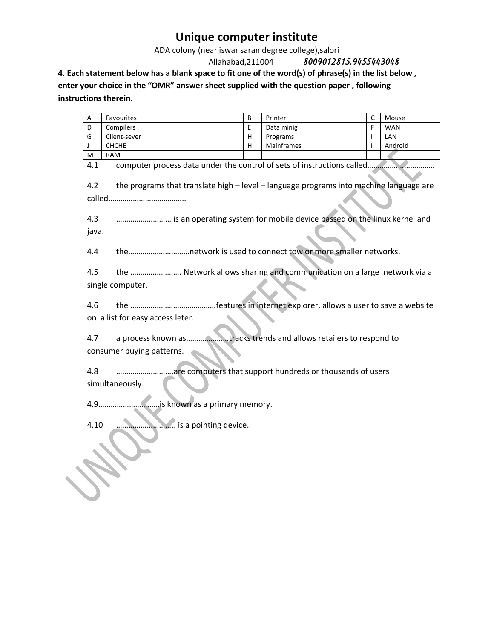ADA colony (near iswar saran degree college),salori

Allahabad,211004 *8009012815,9455443048*

**4. Each statement below has a blank space to fit one of the word(s) of phrase(s) in the list below ,** 

**enter your choice in the "OMR" answer sheet supplied with the question paper , following instructions therein.**

| A                                                                                             | Favourites                                                             | B | Printer    | C            | Mouse      |  |  |  |  |
|-----------------------------------------------------------------------------------------------|------------------------------------------------------------------------|---|------------|--------------|------------|--|--|--|--|
| D                                                                                             | Compilers                                                              | E | Data minig | F            | <b>WAN</b> |  |  |  |  |
| G                                                                                             | Client-sever                                                           | н | Programs   | $\mathbf{I}$ | LAN        |  |  |  |  |
| J                                                                                             | CHCHE                                                                  | н | Mainframes | J.           | Android    |  |  |  |  |
| м                                                                                             | <b>RAM</b>                                                             |   |            |              |            |  |  |  |  |
| computer process data under the control of sets of instructions called<br>4.1                 |                                                                        |   |            |              |            |  |  |  |  |
| the programs that translate high - level - language programs into machine language are<br>4.2 |                                                                        |   |            |              |            |  |  |  |  |
|                                                                                               |                                                                        |   |            |              |            |  |  |  |  |
| is an operating system for mobile device bassed on the linux kernel and<br>4.3<br>java.       |                                                                        |   |            |              |            |  |  |  |  |
| 4.4                                                                                           | thenetwork is used to connect tow or more smaller networks.            |   |            |              |            |  |  |  |  |
| 4.5                                                                                           | the  Network allows sharing and communication on a large network via a |   |            |              |            |  |  |  |  |
| single computer.                                                                              |                                                                        |   |            |              |            |  |  |  |  |
|                                                                                               |                                                                        |   |            |              |            |  |  |  |  |
|                                                                                               |                                                                        |   |            |              |            |  |  |  |  |
| 4.6                                                                                           |                                                                        |   |            |              |            |  |  |  |  |
| on a list for easy access leter.                                                              |                                                                        |   |            |              |            |  |  |  |  |
|                                                                                               |                                                                        |   |            |              |            |  |  |  |  |
| 4.7<br>a process known astracks trends and allows retailers to respond to                     |                                                                        |   |            |              |            |  |  |  |  |
| consumer buying patterns.                                                                     |                                                                        |   |            |              |            |  |  |  |  |
|                                                                                               |                                                                        |   |            |              |            |  |  |  |  |
| are computers that support hundreds or thousands of users<br>4.8                              |                                                                        |   |            |              |            |  |  |  |  |
|                                                                                               |                                                                        |   |            |              |            |  |  |  |  |
| simultaneously.                                                                               |                                                                        |   |            |              |            |  |  |  |  |
| is known as a primary memory.<br>4.9                                                          |                                                                        |   |            |              |            |  |  |  |  |
| <b>ALL AND ASSESS</b> is a pointing device.<br>4.10                                           |                                                                        |   |            |              |            |  |  |  |  |
|                                                                                               |                                                                        |   |            |              |            |  |  |  |  |
|                                                                                               |                                                                        |   |            |              |            |  |  |  |  |
|                                                                                               |                                                                        |   |            |              |            |  |  |  |  |